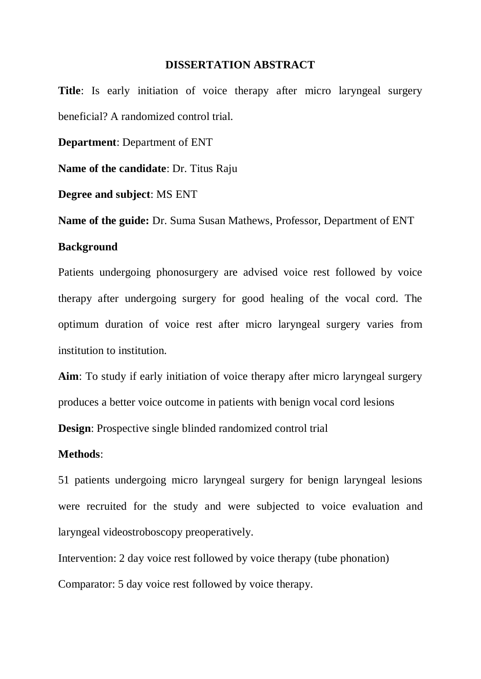## **DISSERTATION ABSTRACT**

**Title**: Is early initiation of voice therapy after micro laryngeal surgery beneficial? A randomized control trial.

**Department**: Department of ENT

**Name of the candidate**: Dr. Titus Raju

**Degree and subject**: MS ENT

**Name of the guide:** Dr. Suma Susan Mathews, Professor, Department of ENT

# **Background**

Patients undergoing phonosurgery are advised voice rest followed by voice therapy after undergoing surgery for good healing of the vocal cord. The optimum duration of voice rest after micro laryngeal surgery varies from institution to institution.

**Aim**: To study if early initiation of voice therapy after micro laryngeal surgery produces a better voice outcome in patients with benign vocal cord lesions **Design**: Prospective single blinded randomized control trial

#### **Methods**:

51 patients undergoing micro laryngeal surgery for benign laryngeal lesions were recruited for the study and were subjected to voice evaluation and laryngeal videostroboscopy preoperatively.

Intervention: 2 day voice rest followed by voice therapy (tube phonation)

Comparator: 5 day voice rest followed by voice therapy.